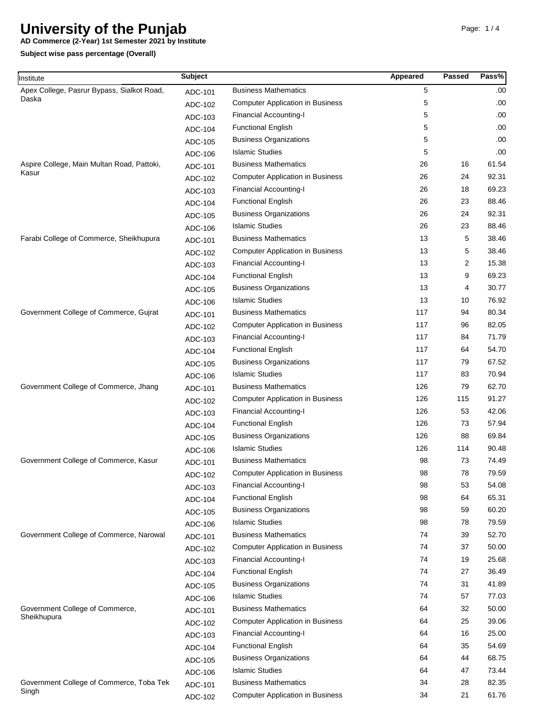**AD Commerce (2-Year) 1st Semester 2021 by Institute**

| Institute                                           | <b>Subject</b> |                                         | <b>Appeared</b> | Passed | Pass% |
|-----------------------------------------------------|----------------|-----------------------------------------|-----------------|--------|-------|
| Apex College, Pasrur Bypass, Sialkot Road,          | ADC-101        | <b>Business Mathematics</b>             | 5               |        | .00   |
| Daska                                               | ADC-102        | <b>Computer Application in Business</b> | 5               |        | .00.  |
|                                                     | ADC-103        | <b>Financial Accounting-I</b>           | 5               |        | .00.  |
|                                                     | ADC-104        | <b>Functional English</b>               | 5               |        | .00   |
|                                                     | ADC-105        | <b>Business Organizations</b>           | 5               |        | .00.  |
|                                                     | ADC-106        | <b>Islamic Studies</b>                  | 5               |        | .00.  |
| Aspire College, Main Multan Road, Pattoki,<br>Kasur | ADC-101        | <b>Business Mathematics</b>             | 26              | 16     | 61.54 |
|                                                     | ADC-102        | <b>Computer Application in Business</b> | 26              | 24     | 92.31 |
|                                                     | ADC-103        | <b>Financial Accounting-I</b>           | 26              | 18     | 69.23 |
|                                                     | ADC-104        | <b>Functional English</b>               | 26              | 23     | 88.46 |
|                                                     | ADC-105        | <b>Business Organizations</b>           | 26              | 24     | 92.31 |
|                                                     | ADC-106        | <b>Islamic Studies</b>                  | 26              | 23     | 88.46 |
| Farabi College of Commerce, Sheikhupura             | ADC-101        | <b>Business Mathematics</b>             | 13              | 5      | 38.46 |
|                                                     | ADC-102        | <b>Computer Application in Business</b> | 13              | 5      | 38.46 |
|                                                     | ADC-103        | <b>Financial Accounting-I</b>           | 13              | 2      | 15.38 |
|                                                     | ADC-104        | <b>Functional English</b>               | 13              | 9      | 69.23 |
|                                                     | ADC-105        | <b>Business Organizations</b>           | 13              | 4      | 30.77 |
|                                                     | ADC-106        | <b>Islamic Studies</b>                  | 13              | 10     | 76.92 |
| Government College of Commerce, Gujrat              | ADC-101        | <b>Business Mathematics</b>             | 117             | 94     | 80.34 |
|                                                     | ADC-102        | <b>Computer Application in Business</b> | 117             | 96     | 82.05 |
|                                                     | ADC-103        | <b>Financial Accounting-I</b>           | 117             | 84     | 71.79 |
|                                                     | ADC-104        | <b>Functional English</b>               | 117             | 64     | 54.70 |
|                                                     | ADC-105        | <b>Business Organizations</b>           | 117             | 79     | 67.52 |
|                                                     | ADC-106        | <b>Islamic Studies</b>                  | 117             | 83     | 70.94 |
| Government College of Commerce, Jhang               | ADC-101        | <b>Business Mathematics</b>             | 126             | 79     | 62.70 |
|                                                     | ADC-102        | <b>Computer Application in Business</b> | 126             | 115    | 91.27 |
|                                                     | ADC-103        | <b>Financial Accounting-I</b>           | 126             | 53     | 42.06 |
|                                                     | ADC-104        | <b>Functional English</b>               | 126             | 73     | 57.94 |
|                                                     | ADC-105        | <b>Business Organizations</b>           | 126             | 88     | 69.84 |
|                                                     | ADC-106        | <b>Islamic Studies</b>                  | 126             | 114    | 90.48 |
| Government College of Commerce, Kasur               | ADC-101        | <b>Business Mathematics</b>             | 98              | 73     | 74.49 |
|                                                     | ADC-102        | <b>Computer Application in Business</b> | 98              | 78     | 79.59 |
|                                                     | ADC-103        | <b>Financial Accounting-I</b>           | 98              | 53     | 54.08 |
|                                                     | ADC-104        | <b>Functional English</b>               | 98              | 64     | 65.31 |
|                                                     | ADC-105        | <b>Business Organizations</b>           | 98              | 59     | 60.20 |
|                                                     | ADC-106        | <b>Islamic Studies</b>                  | 98              | 78     | 79.59 |
| Government College of Commerce, Narowal             | ADC-101        | <b>Business Mathematics</b>             | 74              | 39     | 52.70 |
|                                                     | ADC-102        | <b>Computer Application in Business</b> | 74              | 37     | 50.00 |
|                                                     | ADC-103        | <b>Financial Accounting-I</b>           | 74              | 19     | 25.68 |
|                                                     | ADC-104        | <b>Functional English</b>               | 74              | 27     | 36.49 |
|                                                     | ADC-105        | <b>Business Organizations</b>           | 74              | 31     | 41.89 |
|                                                     | ADC-106        | <b>Islamic Studies</b>                  | 74              | 57     | 77.03 |
| Government College of Commerce,<br>Sheikhupura      | ADC-101        | <b>Business Mathematics</b>             | 64              | 32     | 50.00 |
|                                                     | ADC-102        | <b>Computer Application in Business</b> | 64              | 25     | 39.06 |
|                                                     | ADC-103        | <b>Financial Accounting-I</b>           | 64              | 16     | 25.00 |
|                                                     | ADC-104        | <b>Functional English</b>               | 64              | 35     | 54.69 |
|                                                     | ADC-105        | <b>Business Organizations</b>           | 64              | 44     | 68.75 |
|                                                     | ADC-106        | <b>Islamic Studies</b>                  | 64              | 47     | 73.44 |
| Government College of Commerce, Toba Tek            | ADC-101        | <b>Business Mathematics</b>             | 34              | 28     | 82.35 |
| Singh                                               | ADC-102        | <b>Computer Application in Business</b> | 34              | 21     | 61.76 |
|                                                     |                |                                         |                 |        |       |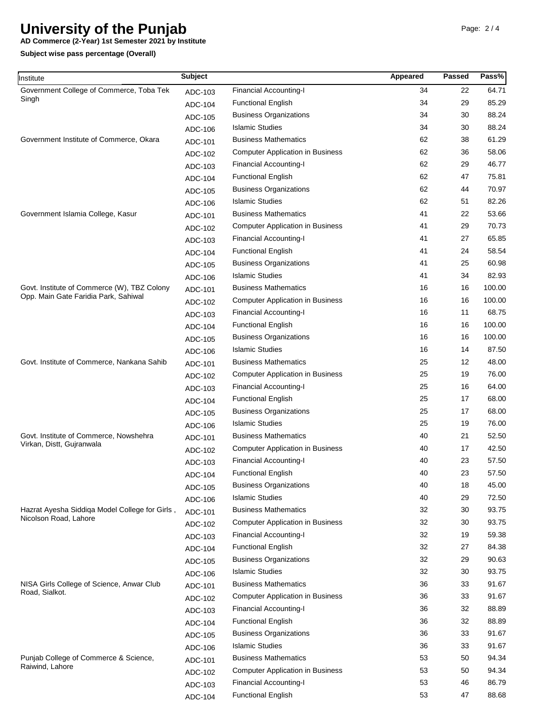**AD Commerce (2-Year) 1st Semester 2021 by Institute**

| nstitute                                                 | <b>Subject</b> |                                         | Appeared | Passed | Pass%  |
|----------------------------------------------------------|----------------|-----------------------------------------|----------|--------|--------|
| Government College of Commerce, Toba Tek                 | ADC-103        | <b>Financial Accounting-I</b>           | 34       | 22     | 64.71  |
| Singh<br>Government Institute of Commerce, Okara         | ADC-104        | <b>Functional English</b>               | 34       | 29     | 85.29  |
|                                                          | ADC-105        | <b>Business Organizations</b>           | 34       | 30     | 88.24  |
|                                                          | ADC-106        | <b>Islamic Studies</b>                  | 34       | 30     | 88.24  |
|                                                          | ADC-101        | <b>Business Mathematics</b>             | 62       | 38     | 61.29  |
|                                                          | ADC-102        | <b>Computer Application in Business</b> | 62       | 36     | 58.06  |
|                                                          | ADC-103        | <b>Financial Accounting-I</b>           | 62       | 29     | 46.77  |
| Government Islamia College, Kasur                        | ADC-104        | <b>Functional English</b>               | 62       | 47     | 75.81  |
|                                                          | ADC-105        | <b>Business Organizations</b>           | 62       | 44     | 70.97  |
|                                                          | ADC-106        | <b>Islamic Studies</b>                  | 62       | 51     | 82.26  |
|                                                          | ADC-101        | <b>Business Mathematics</b>             | 41       | 22     | 53.66  |
|                                                          | ADC-102        | <b>Computer Application in Business</b> | 41       | 29     | 70.73  |
|                                                          | ADC-103        | <b>Financial Accounting-I</b>           | 41       | 27     | 65.85  |
|                                                          | ADC-104        | <b>Functional English</b>               | 41       | 24     | 58.54  |
|                                                          | ADC-105        | <b>Business Organizations</b>           | 41       | 25     | 60.98  |
|                                                          | ADC-106        | <b>Islamic Studies</b>                  | 41       | 34     | 82.93  |
| Govt. Institute of Commerce (W), TBZ Colony              | ADC-101        | <b>Business Mathematics</b>             | 16       | 16     | 100.00 |
| Opp. Main Gate Faridia Park, Sahiwal                     | ADC-102        | <b>Computer Application in Business</b> | 16       | 16     | 100.00 |
|                                                          | ADC-103        | <b>Financial Accounting-I</b>           | 16       | 11     | 68.75  |
|                                                          | ADC-104        | <b>Functional English</b>               | 16       | 16     | 100.00 |
|                                                          | ADC-105        | <b>Business Organizations</b>           | 16       | 16     | 100.00 |
|                                                          | ADC-106        | <b>Islamic Studies</b>                  | 16       | 14     | 87.50  |
| Govt. Institute of Commerce, Nankana Sahib               | ADC-101        | <b>Business Mathematics</b>             | 25       | 12     | 48.00  |
|                                                          | ADC-102        | <b>Computer Application in Business</b> | 25       | 19     | 76.00  |
|                                                          | ADC-103        | <b>Financial Accounting-I</b>           | 25       | 16     | 64.00  |
|                                                          | ADC-104        | <b>Functional English</b>               | 25       | 17     | 68.00  |
|                                                          | ADC-105        | <b>Business Organizations</b>           | 25       | 17     | 68.00  |
|                                                          | ADC-106        | <b>Islamic Studies</b>                  | 25       | 19     | 76.00  |
| Govt. Institute of Commerce, Nowshehra                   | ADC-101        | <b>Business Mathematics</b>             | 40       | 21     | 52.50  |
| Virkan, Distt, Gujranwala                                | ADC-102        | <b>Computer Application in Business</b> | 40       | 17     | 42.50  |
|                                                          | ADC-103        | <b>Financial Accounting-I</b>           | 40       | 23     | 57.50  |
|                                                          | ADC-104        | <b>Functional English</b>               | 40       | 23     | 57.50  |
|                                                          | ADC-105        | <b>Business Organizations</b>           | 40       | 18     | 45.00  |
|                                                          | ADC-106        | <b>Islamic Studies</b>                  | 40       | 29     | 72.50  |
| Hazrat Ayesha Siddiga Model College for Girls,           | ADC-101        | <b>Business Mathematics</b>             | 32       | 30     | 93.75  |
| Nicolson Road, Lahore                                    | ADC-102        | <b>Computer Application in Business</b> | 32       | 30     | 93.75  |
|                                                          | ADC-103        | <b>Financial Accounting-I</b>           | 32       | 19     | 59.38  |
|                                                          | ADC-104        | <b>Functional English</b>               | 32       | 27     | 84.38  |
|                                                          | ADC-105        | <b>Business Organizations</b>           | 32       | 29     | 90.63  |
|                                                          | ADC-106        | <b>Islamic Studies</b>                  | 32       | 30     | 93.75  |
| NISA Girls College of Science, Anwar Club                | ADC-101        | <b>Business Mathematics</b>             | 36       | 33     | 91.67  |
| Road, Sialkot.                                           | ADC-102        | <b>Computer Application in Business</b> | 36       | 33     | 91.67  |
|                                                          | ADC-103        | <b>Financial Accounting-I</b>           | 36       | 32     | 88.89  |
|                                                          | ADC-104        | <b>Functional English</b>               | 36       | 32     | 88.89  |
|                                                          | ADC-105        | <b>Business Organizations</b>           | 36       | 33     | 91.67  |
|                                                          | ADC-106        | <b>Islamic Studies</b>                  | 36       | 33     | 91.67  |
| Punjab College of Commerce & Science,<br>Raiwind, Lahore | ADC-101        | <b>Business Mathematics</b>             | 53       | 50     | 94.34  |
|                                                          | ADC-102        | <b>Computer Application in Business</b> | 53       | 50     | 94.34  |
|                                                          | ADC-103        | <b>Financial Accounting-I</b>           | 53       | 46     | 86.79  |
|                                                          | ADC-104        | <b>Functional English</b>               | 53       | 47     | 88.68  |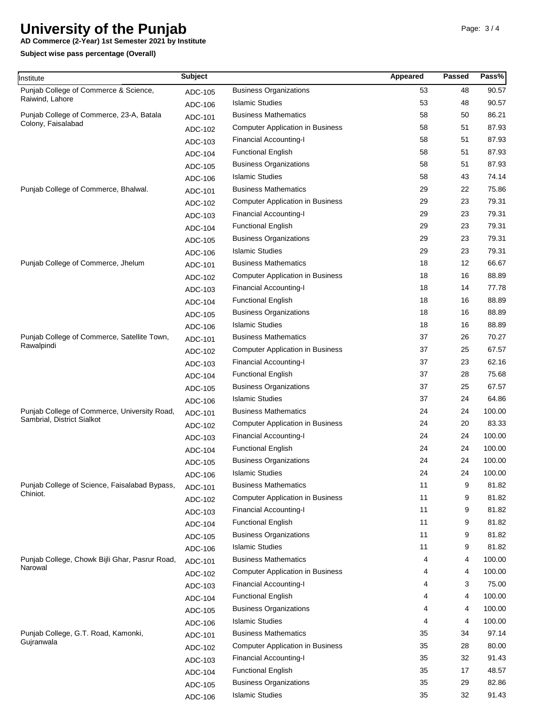**AD Commerce (2-Year) 1st Semester 2021 by Institute**

| Institute                                                      | <b>Subject</b> |                                         | Appeared | Passed | Pass%  |
|----------------------------------------------------------------|----------------|-----------------------------------------|----------|--------|--------|
| Punjab College of Commerce & Science,<br>Raiwind, Lahore       | ADC-105        | <b>Business Organizations</b>           | 53       | 48     | 90.57  |
|                                                                | ADC-106        | <b>Islamic Studies</b>                  | 53       | 48     | 90.57  |
| Punjab College of Commerce, 23-A, Batala<br>Colony, Faisalabad | ADC-101        | <b>Business Mathematics</b>             | 58       | 50     | 86.21  |
|                                                                | ADC-102        | <b>Computer Application in Business</b> | 58       | 51     | 87.93  |
|                                                                | ADC-103        | <b>Financial Accounting-I</b>           | 58       | 51     | 87.93  |
|                                                                | ADC-104        | <b>Functional English</b>               | 58       | 51     | 87.93  |
|                                                                | ADC-105        | <b>Business Organizations</b>           | 58       | 51     | 87.93  |
|                                                                | ADC-106        | <b>Islamic Studies</b>                  | 58       | 43     | 74.14  |
| Punjab College of Commerce, Bhalwal.                           | ADC-101        | <b>Business Mathematics</b>             | 29       | 22     | 75.86  |
|                                                                | ADC-102        | <b>Computer Application in Business</b> | 29       | 23     | 79.31  |
|                                                                | ADC-103        | <b>Financial Accounting-I</b>           | 29       | 23     | 79.31  |
|                                                                | ADC-104        | <b>Functional English</b>               | 29       | 23     | 79.31  |
|                                                                | ADC-105        | <b>Business Organizations</b>           | 29       | 23     | 79.31  |
|                                                                | ADC-106        | <b>Islamic Studies</b>                  | 29       | 23     | 79.31  |
| Punjab College of Commerce, Jhelum                             | ADC-101        | <b>Business Mathematics</b>             | 18       | 12     | 66.67  |
|                                                                | ADC-102        | <b>Computer Application in Business</b> | 18       | 16     | 88.89  |
|                                                                | ADC-103        | <b>Financial Accounting-I</b>           | 18       | 14     | 77.78  |
|                                                                | ADC-104        | <b>Functional English</b>               | 18       | 16     | 88.89  |
|                                                                | ADC-105        | <b>Business Organizations</b>           | 18       | 16     | 88.89  |
|                                                                | ADC-106        | <b>Islamic Studies</b>                  | 18       | 16     | 88.89  |
| Punjab College of Commerce, Satellite Town,                    | ADC-101        | <b>Business Mathematics</b>             | 37       | 26     | 70.27  |
| Rawalpindi                                                     | ADC-102        | <b>Computer Application in Business</b> | 37       | 25     | 67.57  |
|                                                                | ADC-103        | Financial Accounting-I                  | 37       | 23     | 62.16  |
|                                                                | ADC-104        | <b>Functional English</b>               | 37       | 28     | 75.68  |
|                                                                | ADC-105        | <b>Business Organizations</b>           | 37       | 25     | 67.57  |
|                                                                | ADC-106        | <b>Islamic Studies</b>                  | 37       | 24     | 64.86  |
| Punjab College of Commerce, University Road,                   | ADC-101        | <b>Business Mathematics</b>             | 24       | 24     | 100.00 |
| Sambrial, District Sialkot                                     | ADC-102        | <b>Computer Application in Business</b> | 24       | 20     | 83.33  |
|                                                                | ADC-103        | Financial Accounting-I                  | 24       | 24     | 100.00 |
|                                                                | ADC-104        | <b>Functional English</b>               | 24       | 24     | 100.00 |
|                                                                | ADC-105        | <b>Business Organizations</b>           | 24       | 24     | 100.00 |
|                                                                | ADC-106        | <b>Islamic Studies</b>                  | 24       | 24     | 100.00 |
| Punjab College of Science, Faisalabad Bypass,                  | ADC-101        | <b>Business Mathematics</b>             | 11       | 9      | 81.82  |
| Chiniot.                                                       | ADC-102        | <b>Computer Application in Business</b> | 11       | 9      | 81.82  |
|                                                                | ADC-103        | <b>Financial Accounting-I</b>           | 11       | 9      | 81.82  |
|                                                                | ADC-104        | <b>Functional English</b>               | 11       | 9      | 81.82  |
|                                                                | ADC-105        | <b>Business Organizations</b>           | 11       | 9      | 81.82  |
|                                                                | ADC-106        | <b>Islamic Studies</b>                  | 11       | 9      | 81.82  |
| Punjab College, Chowk Bijli Ghar, Pasrur Road,                 | ADC-101        | <b>Business Mathematics</b>             | 4        | 4      | 100.00 |
| Narowal                                                        | ADC-102        | <b>Computer Application in Business</b> | 4        | 4      | 100.00 |
|                                                                | ADC-103        | <b>Financial Accounting-I</b>           | 4        | 3      | 75.00  |
|                                                                | ADC-104        | <b>Functional English</b>               | 4        | 4      | 100.00 |
|                                                                | ADC-105        | <b>Business Organizations</b>           | 4        | 4      | 100.00 |
|                                                                | ADC-106        | <b>Islamic Studies</b>                  | 4        | 4      | 100.00 |
| Punjab College, G.T. Road, Kamonki,<br>Gujranwala              | ADC-101        | <b>Business Mathematics</b>             | 35       | 34     | 97.14  |
|                                                                | ADC-102        | <b>Computer Application in Business</b> | 35       | 28     | 80.00  |
|                                                                | ADC-103        | <b>Financial Accounting-I</b>           | 35       | 32     | 91.43  |
|                                                                | ADC-104        | <b>Functional English</b>               | 35       | 17     | 48.57  |
|                                                                | ADC-105        | <b>Business Organizations</b>           | 35       | 29     | 82.86  |
|                                                                | ADC-106        | <b>Islamic Studies</b>                  | 35       | 32     | 91.43  |